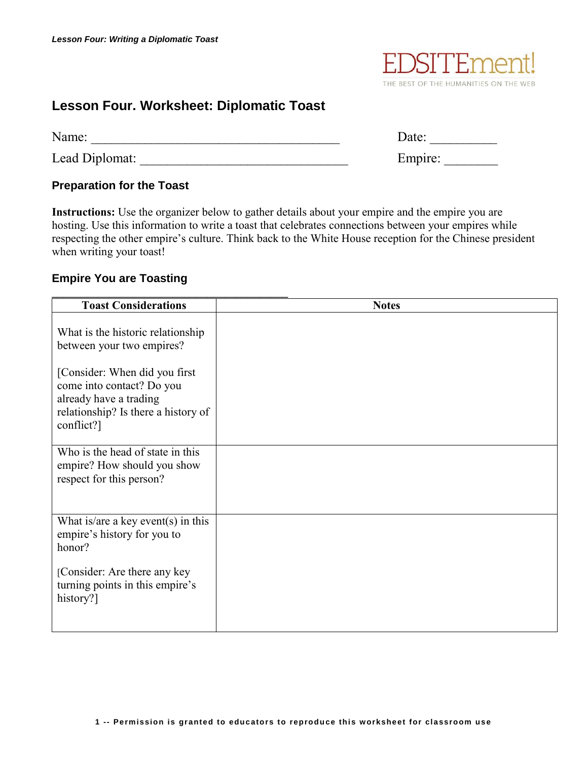

## **Lesson Four. Worksheet: Diplomatic Toast**

| Name:          | Date:   |
|----------------|---------|
| Lead Diplomat: | Empire: |

## **Preparation for the Toast**

**Instructions:** Use the organizer below to gather details about your empire and the empire you are hosting. Use this information to write a toast that celebrates connections between your empires while respecting the other empire's culture. Think back to the White House reception for the Chinese president when writing your toast!

## **Empire You are Toasting**

| <b>Toast Considerations</b>                                                                                                                | <b>Notes</b> |
|--------------------------------------------------------------------------------------------------------------------------------------------|--------------|
| What is the historic relationship<br>between your two empires?                                                                             |              |
| [Consider: When did you first]<br>come into contact? Do you<br>already have a trading<br>relationship? Is there a history of<br>conflict?] |              |
| Who is the head of state in this<br>empire? How should you show<br>respect for this person?                                                |              |
| What is/are a key event(s) in this<br>empire's history for you to<br>honor?                                                                |              |
| [Consider: Are there any key<br>turning points in this empire's<br>history?]                                                               |              |